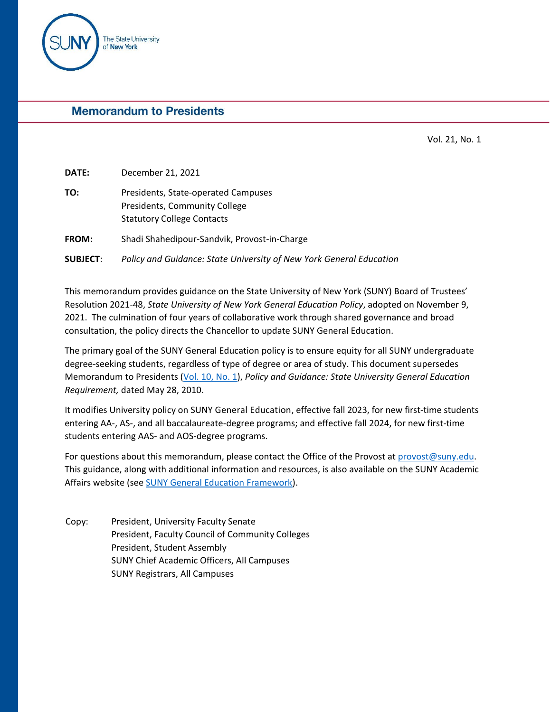

# **Memorandum to Presidents**

Vol. 21, No. 1

**DATE:** December 21, 2021 **TO:** Presidents, State-operated Campuses Presidents, Community College Statutory College Contacts **FROM:** Shadi Shahedipour-Sandvik, Provost-in-Charge **SUBJECT**: *Policy and Guidance: State University of New York General Education*

This memorandum provides guidance on the State University of New York (SUNY) Board of Trustees' Resolution 2021-48, *State University of New York General Education Policy*, adopted on November 9, 2021. The culmination of four years of collaborative work through shared governance and broad consultation, the policy directs the Chancellor to update SUNY General Education.

The primary goal of the SUNY General Education policy is to ensure equity for all SUNY undergraduate degree-seeking students, regardless of type of degree or area of study. This document supersedes Memorandum to Presidents [\(Vol. 10, No. 1\)](https://system.suny.edu/media/suny/content-assets/documents/academic-affairs/mtp/mtp10-1.pdf), *Policy and Guidance: State University General Education Requirement,* dated May 28, 2010.

It modifies University policy on SUNY General Education, effective fall 2023, for new first-time students entering AA-, AS-, and all baccalaureate-degree programs; and effective fall 2024, for new first-time students entering AAS- and AOS-degree programs.

For questions about this memorandum, please contact the Office of the Provost at [provost@suny.edu.](mailto:provost@suny.edu) This guidance, along with additional information and resources, is also available on the SUNY Academic Affairs website (see [SUNY General Education Framework\)](https://system.suny.edu/academic-affairs/acaproplan/general-education/SUNY-GE/).

Copy: President, University Faculty Senate President, Faculty Council of Community Colleges President, Student Assembly SUNY Chief Academic Officers, All Campuses SUNY Registrars, All Campuses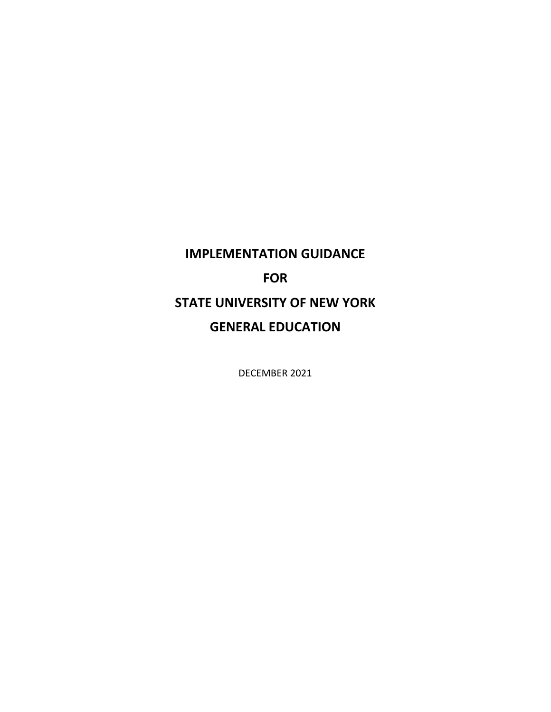# **IMPLEMENTATION GUIDANCE FOR STATE UNIVERSITY OF NEW YORK GENERAL EDUCATION**

DECEMBER 2021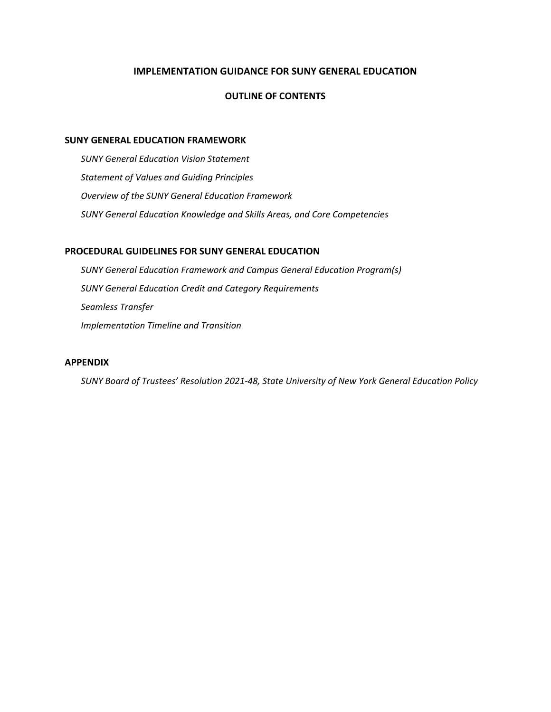# **IMPLEMENTATION GUIDANCE FOR SUNY GENERAL EDUCATION**

## **OUTLINE OF CONTENTS**

#### **SUNY GENERAL EDUCATION FRAMEWORK**

*SUNY General Education Vision Statement Statement of Values and Guiding Principles Overview of the SUNY General Education Framework SUNY General Education Knowledge and Skills Areas, and Core Competencies*

## **PROCEDURAL GUIDELINES FOR SUNY GENERAL EDUCATION**

*SUNY General Education Framework and Campus General Education Program(s) SUNY General Education Credit and Category Requirements Seamless Transfer Implementation Timeline and Transition*

# **APPENDIX**

*SUNY Board of Trustees' Resolution 2021-48, State University of New York General Education Policy*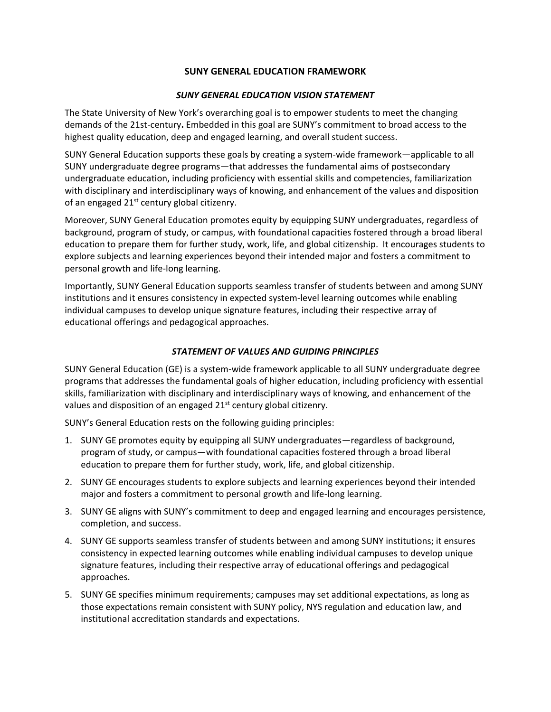## **SUNY GENERAL EDUCATION FRAMEWORK**

## *SUNY GENERAL EDUCATION VISION STATEMENT*

The State University of New York's overarching goal is to empower students to meet the changing demands of the 21st-century**.** Embedded in this goal are SUNY's commitment to broad access to the highest quality education, deep and engaged learning, and overall student success.

SUNY General Education supports these goals by creating a system-wide framework—applicable to all SUNY undergraduate degree programs—that addresses the fundamental aims of postsecondary undergraduate education, including proficiency with essential skills and competencies, familiarization with disciplinary and interdisciplinary ways of knowing, and enhancement of the values and disposition of an engaged 21<sup>st</sup> century global citizenry.

Moreover, SUNY General Education promotes equity by equipping SUNY undergraduates, regardless of background, program of study, or campus, with foundational capacities fostered through a broad liberal education to prepare them for further study, work, life, and global citizenship. It encourages students to explore subjects and learning experiences beyond their intended major and fosters a commitment to personal growth and life-long learning.

Importantly, SUNY General Education supports seamless transfer of students between and among SUNY institutions and it ensures consistency in expected system-level learning outcomes while enabling individual campuses to develop unique signature features, including their respective array of educational offerings and pedagogical approaches.

## *STATEMENT OF VALUES AND GUIDING PRINCIPLES*

SUNY General Education (GE) is a system-wide framework applicable to all SUNY undergraduate degree programs that addresses the fundamental goals of higher education, including proficiency with essential skills, familiarization with disciplinary and interdisciplinary ways of knowing, and enhancement of the values and disposition of an engaged 21<sup>st</sup> century global citizenry.

SUNY's General Education rests on the following guiding principles:

- 1. SUNY GE promotes equity by equipping all SUNY undergraduates—regardless of background, program of study, or campus—with foundational capacities fostered through a broad liberal education to prepare them for further study, work, life, and global citizenship.
- 2. SUNY GE encourages students to explore subjects and learning experiences beyond their intended major and fosters a commitment to personal growth and life-long learning.
- 3. SUNY GE aligns with SUNY's commitment to deep and engaged learning and encourages persistence, completion, and success.
- 4. SUNY GE supports seamless transfer of students between and among SUNY institutions; it ensures consistency in expected learning outcomes while enabling individual campuses to develop unique signature features, including their respective array of educational offerings and pedagogical approaches.
- 5. SUNY GE specifies minimum requirements; campuses may set additional expectations, as long as those expectations remain consistent with SUNY policy, NYS regulation and education law, and institutional accreditation standards and expectations.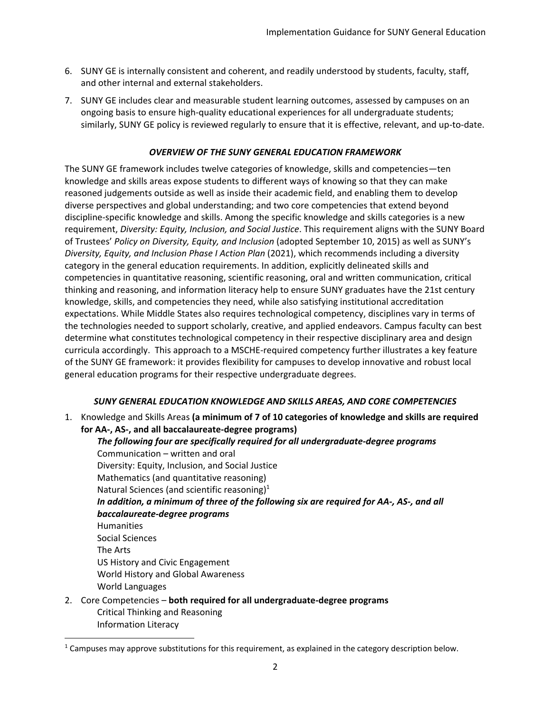- 6. SUNY GE is internally consistent and coherent, and readily understood by students, faculty, staff, and other internal and external stakeholders.
- 7. SUNY GE includes clear and measurable student learning outcomes, assessed by campuses on an ongoing basis to ensure high-quality educational experiences for all undergraduate students; similarly, SUNY GE policy is reviewed regularly to ensure that it is effective, relevant, and up-to-date.

# *OVERVIEW OF THE SUNY GENERAL EDUCATION FRAMEWORK*

The SUNY GE framework includes twelve categories of knowledge, skills and competencies—ten knowledge and skills areas expose students to different ways of knowing so that they can make reasoned judgements outside as well as inside their academic field, and enabling them to develop diverse perspectives and global understanding; and two core competencies that extend beyond discipline-specific knowledge and skills. Among the specific knowledge and skills categories is a new requirement, *Diversity: Equity, Inclusion, and Social Justice*. This requirement aligns with the SUNY Board of Trustees' *Policy on Diversity, Equity, and Inclusion* (adopted September 10, 2015) as well as SUNY's *Diversity, Equity, and Inclusion Phase I Action Plan* (2021), which recommends including a diversity category in the general education requirements. In addition, explicitly delineated skills and competencies in quantitative reasoning, scientific reasoning, oral and written communication, critical thinking and reasoning, and information literacy help to ensure SUNY graduates have the 21st century knowledge, skills, and competencies they need, while also satisfying institutional accreditation expectations. While Middle States also requires technological competency, disciplines vary in terms of the technologies needed to support scholarly, creative, and applied endeavors. Campus faculty can best determine what constitutes technological competency in their respective disciplinary area and design curricula accordingly.This approach to a MSCHE-required competency further illustrates a key feature of the SUNY GE framework: it provides flexibility for campuses to develop innovative and robust local general education programs for their respective undergraduate degrees.

# *SUNY GENERAL EDUCATION KNOWLEDGE AND SKILLS AREAS, AND CORE COMPETENCIES*

1. Knowledge and Skills Areas **(a minimum of 7 of 10 categories of knowledge and skills are required for AA-, AS-, and all baccalaureate-degree programs)**

*The following four are specifically required for all undergraduate-degree programs* Communication – written and oral Diversity: Equity, Inclusion, and Social Justice Mathematics (and quantitative reasoning) Natural Sciences (and scientific reasoning) $1$ *In addition, a minimum of three of the following six are required for AA-, AS-, and all baccalaureate-degree programs* Humanities Social Sciences The Arts US History and Civic Engagement World History and Global Awareness World Languages

2. Core Competencies – **both required for all undergraduate-degree programs** Critical Thinking and Reasoning Information Literacy

 $1$  Campuses may approve substitutions for this requirement, as explained in the category description below.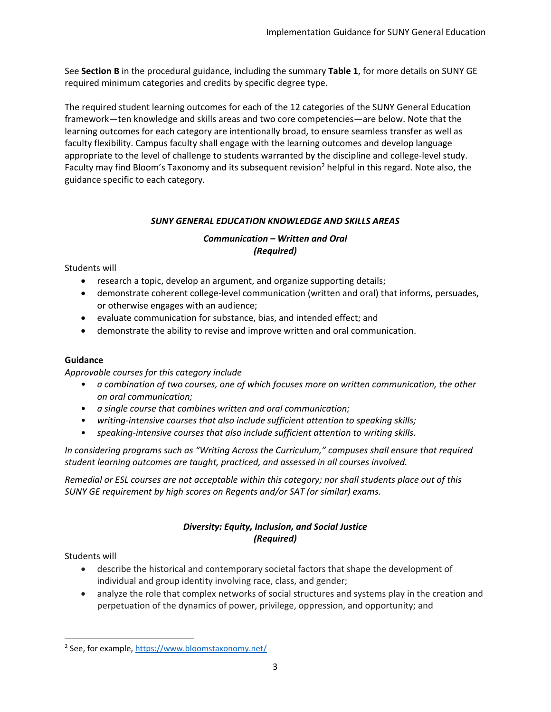See **Section B** in the procedural guidance, including the summary **Table 1**, for more details on SUNY GE required minimum categories and credits by specific degree type.

The required student learning outcomes for each of the 12 categories of the SUNY General Education framework—ten knowledge and skills areas and two core competencies—are below. Note that the learning outcomes for each category are intentionally broad, to ensure seamless transfer as well as faculty flexibility. Campus faculty shall engage with the learning outcomes and develop language appropriate to the level of challenge to students warranted by the discipline and college-level study. Faculty may find Bloom's Taxonomy and its subsequent revision<sup>2</sup> helpful in this regard. Note also, the guidance specific to each category.

# *SUNY GENERAL EDUCATION KNOWLEDGE AND SKILLS AREAS*

# *Communication – Written and Oral (Required)*

Students will

- research a topic, develop an argument, and organize supporting details;
- demonstrate coherent college-level communication (written and oral) that informs, persuades, or otherwise engages with an audience;
- evaluate communication for substance, bias, and intended effect; and
- demonstrate the ability to revise and improve written and oral communication.

# **Guidance**

*Approvable courses for this category include*

- *a combination of two courses, one of which focuses more on written communication, the other on oral communication;*
- *a single course that combines written and oral communication;*
- *writing-intensive courses that also include sufficient attention to speaking skills;*
- *speaking-intensive courses that also include sufficient attention to writing skills.*

*In considering programs such as "Writing Across the Curriculum," campuses shall ensure that required student learning outcomes are taught, practiced, and assessed in all courses involved.* 

*Remedial or ESL courses are not acceptable within this category; nor shall students place out of this SUNY GE requirement by high scores on Regents and/or SAT (or similar) exams.* 

# *Diversity: Equity, Inclusion, and Social Justice (Required)*

Students will

- describe the historical and contemporary societal factors that shape the development of individual and group identity involving race, class, and gender;
- analyze the role that complex networks of social structures and systems play in the creation and perpetuation of the dynamics of power, privilege, oppression, and opportunity; and

<sup>&</sup>lt;sup>2</sup> See, for example[, https://www.bloomstaxonomy.net/](https://www.bloomstaxonomy.net/)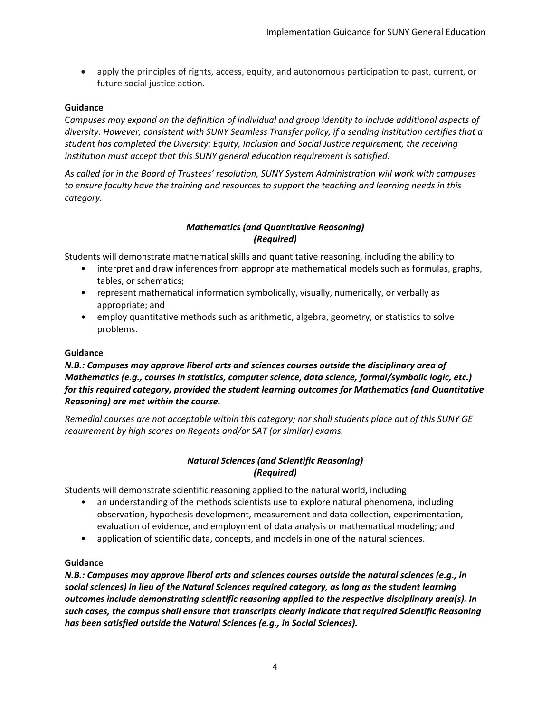• apply the principles of rights, access, equity, and autonomous participation to past, current, or future social justice action.

## **Guidance**

C*ampuses may expand on the definition of individual and group identity to include additional aspects of diversity. However, consistent with SUNY Seamless Transfer policy, if a sending institution certifies that a student has completed the Diversity: Equity, Inclusion and Social Justice requirement, the receiving institution must accept that this SUNY general education requirement is satisfied.*

*As called for in the Board of Trustees' resolution, SUNY System Administration will work with campuses to ensure faculty have the training and resources to support the teaching and learning needs in this category.*

# *Mathematics (and Quantitative Reasoning) (Required)*

Students will demonstrate mathematical skills and quantitative reasoning, including the ability to

- interpret and draw inferences from appropriate mathematical models such as formulas, graphs, tables, or schematics;
- represent mathematical information symbolically, visually, numerically, or verbally as appropriate; and
- employ quantitative methods such as arithmetic, algebra, geometry, or statistics to solve problems.

## **Guidance**

# *N.B.: Campuses may approve liberal arts and sciences courses outside the disciplinary area of Mathematics (e.g., courses in statistics, computer science, data science, formal/symbolic logic, etc.) for this required category, provided the student learning outcomes for Mathematics (and Quantitative Reasoning) are met within the course.*

*Remedial courses are not acceptable within this category; nor shall students place out of this SUNY GE requirement by high scores on Regents and/or SAT (or similar) exams.*

## *Natural Sciences (and Scientific Reasoning) (Required)*

Students will demonstrate scientific reasoning applied to the natural world, including

- an understanding of the methods scientists use to explore natural phenomena, including observation, hypothesis development, measurement and data collection, experimentation, evaluation of evidence, and employment of data analysis or mathematical modeling; and
- application of scientific data, concepts, and models in one of the natural sciences.

## **Guidance**

*N.B.: Campuses may approve liberal arts and sciences courses outside the natural sciences (e.g., in social sciences) in lieu of the Natural Sciences required category, as long as the student learning outcomes include demonstrating scientific reasoning applied to the respective disciplinary area(s). In such cases, the campus shall ensure that transcripts clearly indicate that required Scientific Reasoning has been satisfied outside the Natural Sciences (e.g., in Social Sciences).*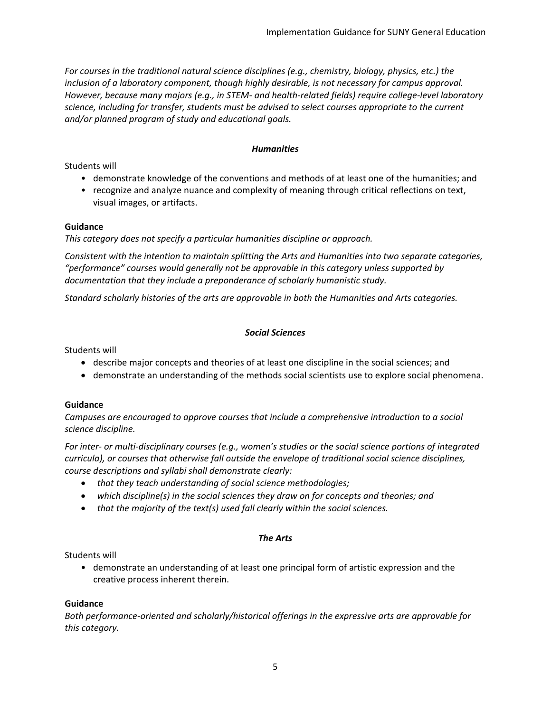*For courses in the traditional natural science disciplines (e.g., chemistry, biology, physics, etc.) the inclusion of a laboratory component, though highly desirable, is not necessary for campus approval. However, because many majors (e.g., in STEM- and health-related fields) require college-level laboratory science, including for transfer, students must be advised to select courses appropriate to the current and/or planned program of study and educational goals.*

## *Humanities*

Students will

- demonstrate knowledge of the conventions and methods of at least one of the humanities; and
- recognize and analyze nuance and complexity of meaning through critical reflections on text, visual images, or artifacts.

#### **Guidance**

*This category does not specify a particular humanities discipline or approach.*

*Consistent with the intention to maintain splitting the Arts and Humanities into two separate categories, "performance" courses would generally not be approvable in this category unless supported by documentation that they include a preponderance of scholarly humanistic study.*

*Standard scholarly histories of the arts are approvable in both the Humanities and Arts categories.*

#### *Social Sciences*

Students will

- describe major concepts and theories of at least one discipline in the social sciences; and
- demonstrate an understanding of the methods social scientists use to explore social phenomena.

## **Guidance**

*Campuses are encouraged to approve courses that include a comprehensive introduction to a social science discipline.*

*For inter- or multi-disciplinary courses (e.g., women's studies or the social science portions of integrated curricula), or courses that otherwise fall outside the envelope of traditional social science disciplines, course descriptions and syllabi shall demonstrate clearly:*

- *that they teach understanding of social science methodologies;*
- *which discipline(s) in the social sciences they draw on for concepts and theories; and*
- *that the majority of the text(s) used fall clearly within the social sciences.*

## *The Arts*

Students will

• demonstrate an understanding of at least one principal form of artistic expression and the creative process inherent therein.

## **Guidance**

*Both performance-oriented and scholarly/historical offerings in the expressive arts are approvable for this category.*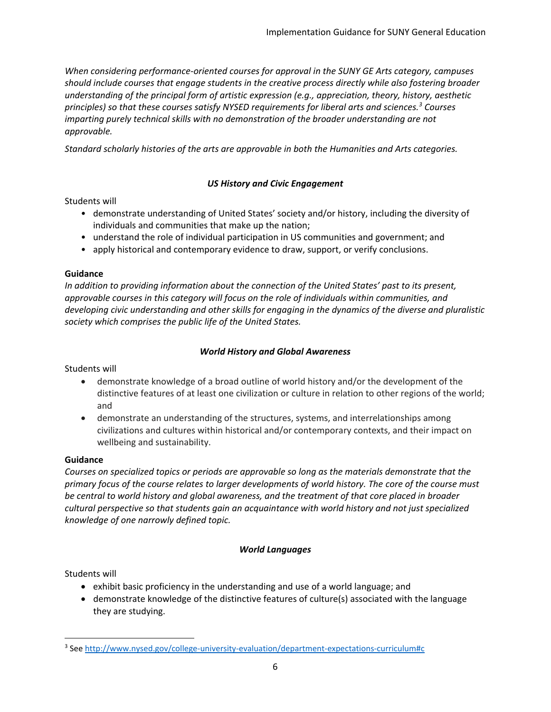*When considering performance-oriented courses for approval in the SUNY GE Arts category, campuses should include courses that engage students in the creative process directly while also fostering broader understanding of the principal form of artistic expression (e.g., appreciation, theory, history, aesthetic principles) so that these courses satisfy NYSED requirements for liberal arts and sciences.<sup>3</sup> Courses imparting purely technical skills with no demonstration of the broader understanding are not approvable.*

*Standard scholarly histories of the arts are approvable in both the Humanities and Arts categories.*

# *US History and Civic Engagement*

# Students will

- demonstrate understanding of United States' society and/or history, including the diversity of individuals and communities that make up the nation;
- understand the role of individual participation in US communities and government; and
- apply historical and contemporary evidence to draw, support, or verify conclusions.

# **Guidance**

*In addition to providing information about the connection of the United States' past to its present, approvable courses in this category will focus on the role of individuals within communities, and developing civic understanding and other skills for engaging in the dynamics of the diverse and pluralistic society which comprises the public life of the United States.*

# *World History and Global Awareness*

Students will

- demonstrate knowledge of a broad outline of world history and/or the development of the distinctive features of at least one civilization or culture in relation to other regions of the world; and
- demonstrate an understanding of the structures, systems, and interrelationships among civilizations and cultures within historical and/or contemporary contexts, and their impact on wellbeing and sustainability.

# **Guidance**

*Courses on specialized topics or periods are approvable so long as the materials demonstrate that the primary focus of the course relates to larger developments of world history. The core of the course must be central to world history and global awareness, and the treatment of that core placed in broader cultural perspective so that students gain an acquaintance with world history and not just specialized knowledge of one narrowly defined topic.*

# *World Languages*

Students will

- exhibit basic proficiency in the understanding and use of a world language; and
- demonstrate knowledge of the distinctive features of culture(s) associated with the language they are studying.

<sup>&</sup>lt;sup>3</sup> Se[e http://www.nysed.gov/college-university-evaluation/department-expectations-curriculum#c](http://www.nysed.gov/college-university-evaluation/department-expectations-curriculum#c)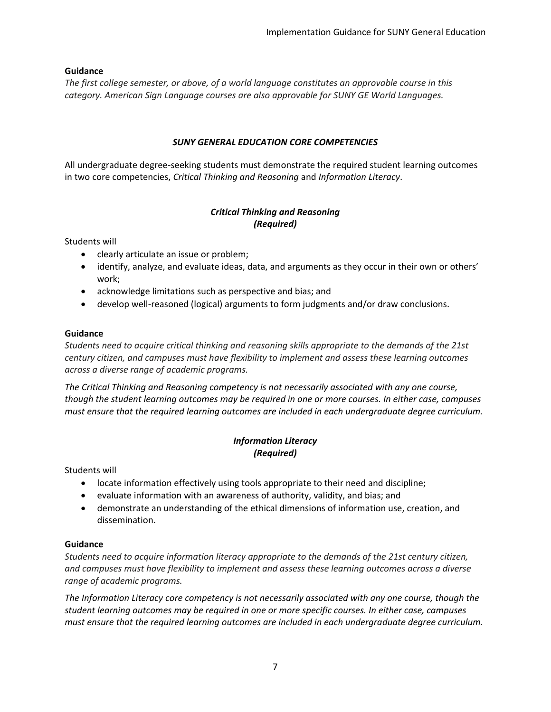## **Guidance**

*The first college semester, or above, of a world language constitutes an approvable course in this category. American Sign Language courses are also approvable for SUNY GE World Languages.*

## *SUNY GENERAL EDUCATION CORE COMPETENCIES*

All undergraduate degree-seeking students must demonstrate the required student learning outcomes in two core competencies, *Critical Thinking and Reasoning* and *Information Literacy*.

# *Critical Thinking and Reasoning (Required)*

Students will

- clearly articulate an issue or problem;
- identify, analyze, and evaluate ideas, data, and arguments as they occur in their own or others' work;
- acknowledge limitations such as perspective and bias; and
- develop well-reasoned (logical) arguments to form judgments and/or draw conclusions.

## **Guidance**

*Students need to acquire critical thinking and reasoning skills appropriate to the demands of the 21st century citizen, and campuses must have flexibility to implement and assess these learning outcomes across a diverse range of academic programs.* 

*The Critical Thinking and Reasoning competency is not necessarily associated with any one course, though the student learning outcomes may be required in one or more courses. In either case, campuses must ensure that the required learning outcomes are included in each undergraduate degree curriculum.* 

# *Information Literacy (Required)*

Students will

- locate information effectively using tools appropriate to their need and discipline;
- evaluate information with an awareness of authority, validity, and bias; and
- demonstrate an understanding of the ethical dimensions of information use, creation, and dissemination.

## **Guidance**

*Students need to acquire information literacy appropriate to the demands of the 21st century citizen, and campuses must have flexibility to implement and assess these learning outcomes across a diverse range of academic programs.* 

*The Information Literacy core competency is not necessarily associated with any one course, though the student learning outcomes may be required in one or more specific courses. In either case, campuses must ensure that the required learning outcomes are included in each undergraduate degree curriculum.*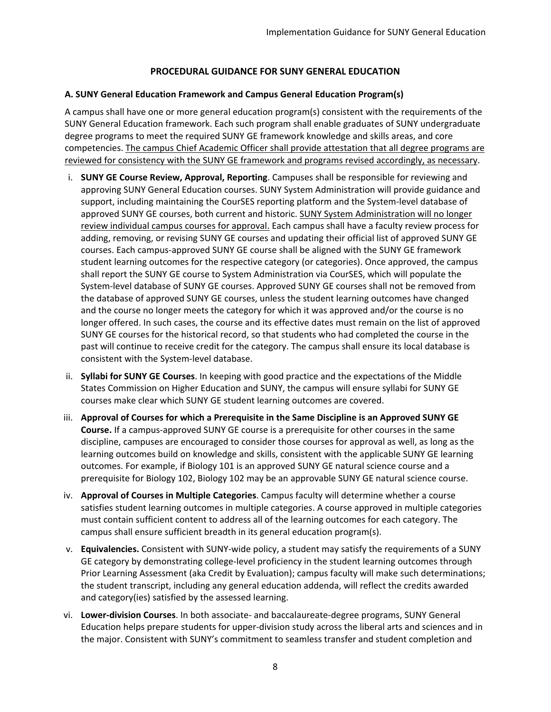# **PROCEDURAL GUIDANCE FOR SUNY GENERAL EDUCATION**

## **A. SUNY General Education Framework and Campus General Education Program(s)**

A campus shall have one or more general education program(s) consistent with the requirements of the SUNY General Education framework. Each such program shall enable graduates of SUNY undergraduate degree programs to meet the required SUNY GE framework knowledge and skills areas, and core competencies. The campus Chief Academic Officer shall provide attestation that all degree programs are reviewed for consistency with the SUNY GE framework and programs revised accordingly, as necessary.

- i. **SUNY GE Course Review, Approval, Reporting**. Campuses shall be responsible for reviewing and approving SUNY General Education courses. SUNY System Administration will provide guidance and support, including maintaining the CourSES reporting platform and the System-level database of approved SUNY GE courses, both current and historic. SUNY System Administration will no longer review individual campus courses for approval. Each campus shall have a faculty review process for adding, removing, or revising SUNY GE courses and updating their official list of approved SUNY GE courses. Each campus-approved SUNY GE course shall be aligned with the SUNY GE framework student learning outcomes for the respective category (or categories). Once approved, the campus shall report the SUNY GE course to System Administration via CourSES, which will populate the System-level database of SUNY GE courses. Approved SUNY GE courses shall not be removed from the database of approved SUNY GE courses, unless the student learning outcomes have changed and the course no longer meets the category for which it was approved and/or the course is no longer offered. In such cases, the course and its effective dates must remain on the list of approved SUNY GE courses for the historical record, so that students who had completed the course in the past will continue to receive credit for the category. The campus shall ensure its local database is consistent with the System-level database.
- ii. **Syllabi for SUNY GE Courses**. In keeping with good practice and the expectations of the Middle States Commission on Higher Education and SUNY, the campus will ensure syllabi for SUNY GE courses make clear which SUNY GE student learning outcomes are covered.
- iii. **Approval of Courses for which a Prerequisite in the Same Discipline is an Approved SUNY GE Course.** If a campus-approved SUNY GE course is a prerequisite for other courses in the same discipline, campuses are encouraged to consider those courses for approval as well, as long as the learning outcomes build on knowledge and skills, consistent with the applicable SUNY GE learning outcomes. For example, if Biology 101 is an approved SUNY GE natural science course and a prerequisite for Biology 102, Biology 102 may be an approvable SUNY GE natural science course.
- iv. **Approval of Courses in Multiple Categories**. Campus faculty will determine whether a course satisfies student learning outcomes in multiple categories. A course approved in multiple categories must contain sufficient content to address all of the learning outcomes for each category. The campus shall ensure sufficient breadth in its general education program(s).
- v. **Equivalencies.** Consistent with SUNY-wide policy, a student may satisfy the requirements of a SUNY GE category by demonstrating college-level proficiency in the student learning outcomes through Prior Learning Assessment (aka Credit by Evaluation); campus faculty will make such determinations; the student transcript, including any general education addenda, will reflect the credits awarded and category(ies) satisfied by the assessed learning.
- vi. **Lower-division Courses**. In both associate- and baccalaureate-degree programs, SUNY General Education helps prepare students for upper-division study across the liberal arts and sciences and in the major. Consistent with SUNY's commitment to seamless transfer and student completion and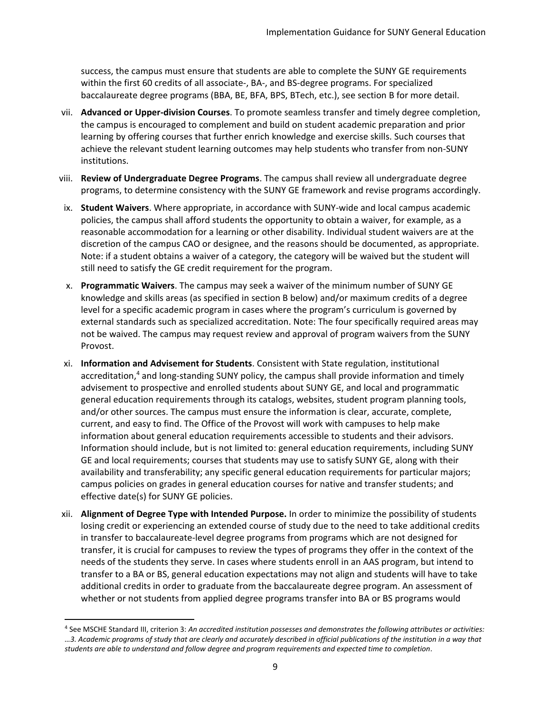success, the campus must ensure that students are able to complete the SUNY GE requirements within the first 60 credits of all associate-, BA-, and BS-degree programs. For specialized baccalaureate degree programs (BBA, BE, BFA, BPS, BTech, etc.), see section B for more detail.

- vii. **Advanced or Upper-division Courses**. To promote seamless transfer and timely degree completion, the campus is encouraged to complement and build on student academic preparation and prior learning by offering courses that further enrich knowledge and exercise skills. Such courses that achieve the relevant student learning outcomes may help students who transfer from non-SUNY institutions.
- viii. **Review of Undergraduate Degree Programs**. The campus shall review all undergraduate degree programs, to determine consistency with the SUNY GE framework and revise programs accordingly.
- ix. **Student Waivers**. Where appropriate, in accordance with SUNY-wide and local campus academic policies, the campus shall afford students the opportunity to obtain a waiver, for example, as a reasonable accommodation for a learning or other disability. Individual student waivers are at the discretion of the campus CAO or designee, and the reasons should be documented, as appropriate. Note: if a student obtains a waiver of a category, the category will be waived but the student will still need to satisfy the GE credit requirement for the program.
- x. **Programmatic Waivers**. The campus may seek a waiver of the minimum number of SUNY GE knowledge and skills areas (as specified in section B below) and/or maximum credits of a degree level for a specific academic program in cases where the program's curriculum is governed by external standards such as specialized accreditation. Note: The four specifically required areas may not be waived. The campus may request review and approval of program waivers from the SUNY Provost.
- xi. **Information and Advisement for Students**. Consistent with State regulation, institutional accreditation,<sup>4</sup> and long-standing SUNY policy, the campus shall provide information and timely advisement to prospective and enrolled students about SUNY GE, and local and programmatic general education requirements through its catalogs, websites, student program planning tools, and/or other sources. The campus must ensure the information is clear, accurate, complete, current, and easy to find. The Office of the Provost will work with campuses to help make information about general education requirements accessible to students and their advisors. Information should include, but is not limited to: general education requirements, including SUNY GE and local requirements; courses that students may use to satisfy SUNY GE, along with their availability and transferability; any specific general education requirements for particular majors; campus policies on grades in general education courses for native and transfer students; and effective date(s) for SUNY GE policies.
- xii. **Alignment of Degree Type with Intended Purpose.** In order to minimize the possibility of students losing credit or experiencing an extended course of study due to the need to take additional credits in transfer to baccalaureate-level degree programs from programs which are not designed for transfer, it is crucial for campuses to review the types of programs they offer in the context of the needs of the students they serve. In cases where students enroll in an AAS program, but intend to transfer to a BA or BS, general education expectations may not align and students will have to take additional credits in order to graduate from the baccalaureate degree program. An assessment of whether or not students from applied degree programs transfer into BA or BS programs would

<sup>4</sup> See MSCHE Standard III, criterion 3: *An accredited institution possesses and demonstrates the following attributes or activities: …3. Academic programs of study that are clearly and accurately described in official publications of the institution in a way that students are able to understand and follow degree and program requirements and expected time to completion*.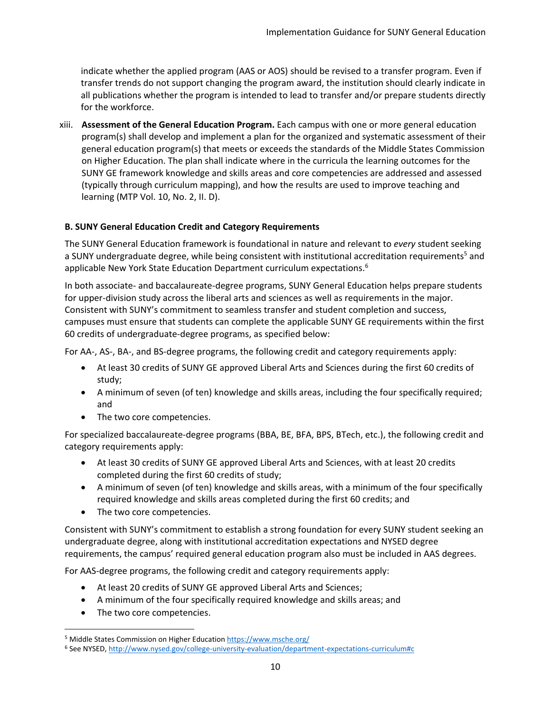indicate whether the applied program (AAS or AOS) should be revised to a transfer program. Even if transfer trends do not support changing the program award, the institution should clearly indicate in all publications whether the program is intended to lead to transfer and/or prepare students directly for the workforce.

xiii. **Assessment of the General Education Program.** Each campus with one or more general education program(s) shall develop and implement a plan for the organized and systematic assessment of their general education program(s) that meets or exceeds the standards of the Middle States Commission on Higher Education. The plan shall indicate where in the curricula the learning outcomes for the SUNY GE framework knowledge and skills areas and core competencies are addressed and assessed (typically through curriculum mapping), and how the results are used to improve teaching and learning (MTP Vol. 10, No. 2, II. D).

## **B. SUNY General Education Credit and Category Requirements**

The SUNY General Education framework is foundational in nature and relevant to *every* student seeking a SUNY undergraduate degree, while being consistent with institutional accreditation requirements<sup>5</sup> and applicable New York State Education Department curriculum expectations.<sup>6</sup>

In both associate- and baccalaureate-degree programs, SUNY General Education helps prepare students for upper-division study across the liberal arts and sciences as well as requirements in the major. Consistent with SUNY's commitment to seamless transfer and student completion and success, campuses must ensure that students can complete the applicable SUNY GE requirements within the first 60 credits of undergraduate-degree programs, as specified below:

For AA-, AS-, BA-, and BS-degree programs, the following credit and category requirements apply:

- At least 30 credits of SUNY GE approved Liberal Arts and Sciences during the first 60 credits of study;
- A minimum of seven (of ten) knowledge and skills areas, including the four specifically required; and
- The two core competencies.

For specialized baccalaureate-degree programs (BBA, BE, BFA, BPS, BTech, etc.), the following credit and category requirements apply:

- At least 30 credits of SUNY GE approved Liberal Arts and Sciences, with at least 20 credits completed during the first 60 credits of study;
- A minimum of seven (of ten) knowledge and skills areas, with a minimum of the four specifically required knowledge and skills areas completed during the first 60 credits; and
- The two core competencies.

Consistent with SUNY's commitment to establish a strong foundation for every SUNY student seeking an undergraduate degree, along with institutional accreditation expectations and NYSED degree requirements, the campus' required general education program also must be included in AAS degrees.

For AAS-degree programs, the following credit and category requirements apply:

- At least 20 credits of SUNY GE approved Liberal Arts and Sciences;
- A minimum of the four specifically required knowledge and skills areas; and
- The two core competencies.

<sup>5</sup> Middle States Commission on Higher Educatio[n https://www.msche.org/](https://www.msche.org/)

<sup>6</sup> See NYSED[, http://www.nysed.gov/college-university-evaluation/department-expectations-curriculum#c](http://www.nysed.gov/college-university-evaluation/department-expectations-curriculum#c)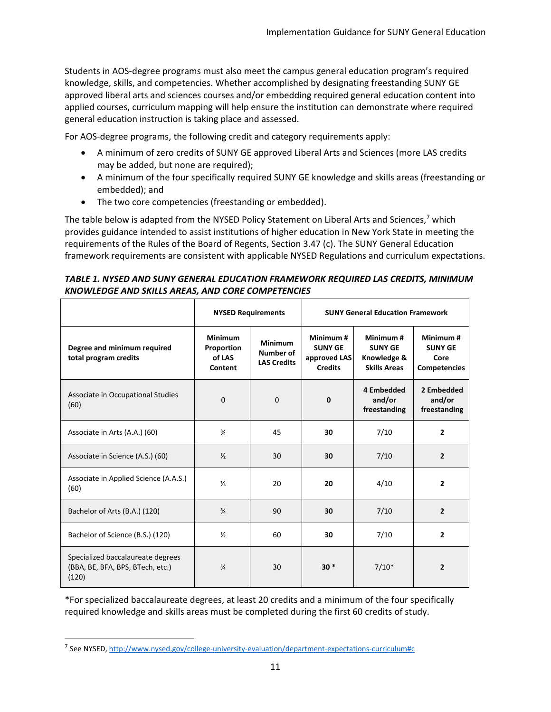Students in AOS-degree programs must also meet the campus general education program's required knowledge, skills, and competencies. Whether accomplished by designating freestanding SUNY GE approved liberal arts and sciences courses and/or embedding required general education content into applied courses, curriculum mapping will help ensure the institution can demonstrate where required general education instruction is taking place and assessed.

For AOS-degree programs, the following credit and category requirements apply:

- A minimum of zero credits of SUNY GE approved Liberal Arts and Sciences (more LAS credits may be added, but none are required);
- A minimum of the four specifically required SUNY GE knowledge and skills areas (freestanding or embedded); and
- The two core competencies (freestanding or embedded).

The table below is adapted from the NYSED Policy Statement on Liberal Arts and Sciences,<sup>7</sup> which provides guidance intended to assist institutions of higher education in New York State in meeting the requirements of the Rules of the Board of Regents, Section 3.47 (c). The SUNY General Education framework requirements are consistent with applicable NYSED Regulations and curriculum expectations.

# *TABLE 1. NYSED AND SUNY GENERAL EDUCATION FRAMEWORK REQUIRED LAS CREDITS, MINIMUM KNOWLEDGE AND SKILLS AREAS, AND CORE COMPETENCIES*

|                                                                                | <b>NYSED Requirements</b>                         |                                                   | <b>SUNY General Education Framework</b>                      |                                                                  |                                                           |
|--------------------------------------------------------------------------------|---------------------------------------------------|---------------------------------------------------|--------------------------------------------------------------|------------------------------------------------------------------|-----------------------------------------------------------|
| Degree and minimum required<br>total program credits                           | <b>Minimum</b><br>Proportion<br>of LAS<br>Content | <b>Minimum</b><br>Number of<br><b>LAS Credits</b> | Minimum#<br><b>SUNY GE</b><br>approved LAS<br><b>Credits</b> | Minimum#<br><b>SUNY GE</b><br>Knowledge &<br><b>Skills Areas</b> | Minimum#<br><b>SUNY GE</b><br>Core<br><b>Competencies</b> |
| Associate in Occupational Studies<br>(60)                                      | 0                                                 | 0                                                 | 0                                                            | 4 Embedded<br>and/or<br>freestanding                             | 2 Embedded<br>and/or<br>freestanding                      |
| Associate in Arts (A.A.) (60)                                                  | $\frac{3}{4}$                                     | 45                                                | 30                                                           | 7/10                                                             | $\overline{2}$                                            |
| Associate in Science (A.S.) (60)                                               | $\frac{1}{2}$                                     | 30                                                | 30                                                           | 7/10                                                             | $\overline{2}$                                            |
| Associate in Applied Science (A.A.S.)<br>(60)                                  | $\frac{1}{3}$                                     | 20                                                | 20                                                           | 4/10                                                             | $\mathbf{2}$                                              |
| Bachelor of Arts (B.A.) (120)                                                  | $\frac{3}{4}$                                     | 90                                                | 30                                                           | 7/10                                                             | $\overline{2}$                                            |
| Bachelor of Science (B.S.) (120)                                               | $\frac{1}{2}$                                     | 60                                                | 30                                                           | 7/10                                                             | $\overline{2}$                                            |
| Specialized baccalaureate degrees<br>(BBA, BE, BFA, BPS, BTech, etc.)<br>(120) | $\frac{1}{4}$                                     | 30                                                | $30*$                                                        | $7/10*$                                                          | $\overline{2}$                                            |

\*For specialized baccalaureate degrees, at least 20 credits and a minimum of the four specifically required knowledge and skills areas must be completed during the first 60 credits of study.

<sup>&</sup>lt;sup>7</sup> See NYSED[, http://www.nysed.gov/college-university-evaluation/department-expectations-curriculum#c](http://www.nysed.gov/college-university-evaluation/department-expectations-curriculum#c)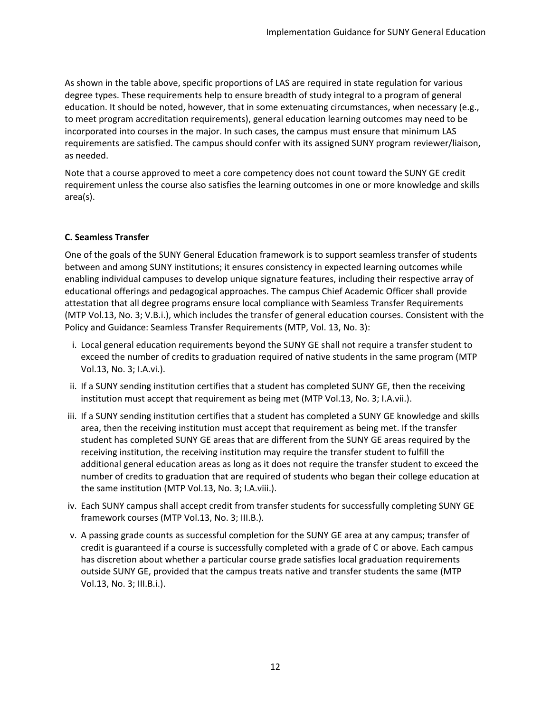As shown in the table above, specific proportions of LAS are required in state regulation for various degree types. These requirements help to ensure breadth of study integral to a program of general education. It should be noted, however, that in some extenuating circumstances, when necessary (e.g., to meet program accreditation requirements), general education learning outcomes may need to be incorporated into courses in the major. In such cases, the campus must ensure that minimum LAS requirements are satisfied. The campus should confer with its assigned SUNY program reviewer/liaison, as needed.

Note that a course approved to meet a core competency does not count toward the SUNY GE credit requirement unless the course also satisfies the learning outcomes in one or more knowledge and skills area(s).

# **C. Seamless Transfer**

One of the goals of the SUNY General Education framework is to support seamless transfer of students between and among SUNY institutions; it ensures consistency in expected learning outcomes while enabling individual campuses to develop unique signature features, including their respective array of educational offerings and pedagogical approaches. The campus Chief Academic Officer shall provide attestation that all degree programs ensure local compliance with Seamless Transfer Requirements (MTP Vol.13, No. 3; V.B.i.), which includes the transfer of general education courses. Consistent with the Policy and Guidance: Seamless Transfer Requirements (MTP, Vol. 13, No. 3):

- i. Local general education requirements beyond the SUNY GE shall not require a transfer student to exceed the number of credits to graduation required of native students in the same program (MTP Vol.13, No. 3; I.A.vi.).
- ii. If a SUNY sending institution certifies that a student has completed SUNY GE, then the receiving institution must accept that requirement as being met (MTP Vol.13, No. 3; I.A.vii.).
- iii. If a SUNY sending institution certifies that a student has completed a SUNY GE knowledge and skills area, then the receiving institution must accept that requirement as being met. If the transfer student has completed SUNY GE areas that are different from the SUNY GE areas required by the receiving institution, the receiving institution may require the transfer student to fulfill the additional general education areas as long as it does not require the transfer student to exceed the number of credits to graduation that are required of students who began their college education at the same institution (MTP Vol.13, No. 3; I.A.viii.).
- iv. Each SUNY campus shall accept credit from transfer students for successfully completing SUNY GE framework courses (MTP Vol.13, No. 3; III.B.).
- v. A passing grade counts as successful completion for the SUNY GE area at any campus; transfer of credit is guaranteed if a course is successfully completed with a grade of C or above. Each campus has discretion about whether a particular course grade satisfies local graduation requirements outside SUNY GE, provided that the campus treats native and transfer students the same (MTP Vol.13, No. 3; III.B.i.).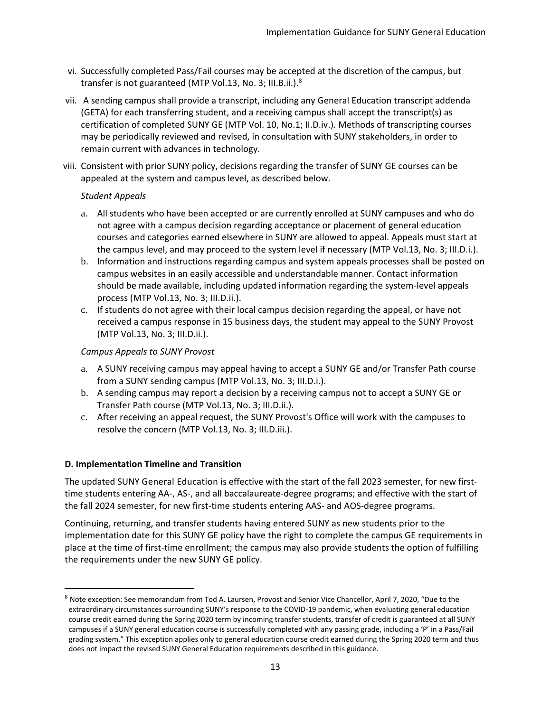- vi. Successfully completed Pass/Fail courses may be accepted at the discretion of the campus, but transfer is not guaranteed (MTP Vol.13, No. 3; III.B.ii.).<sup>8</sup>
- vii. A sending campus shall provide a transcript, including any General Education transcript addenda (GETA) for each transferring student, and a receiving campus shall accept the transcript(s) as certification of completed SUNY GE (MTP Vol. 10, No.1; II.D.iv.). Methods of transcripting courses may be periodically reviewed and revised, in consultation with SUNY stakeholders, in order to remain current with advances in technology.
- viii. Consistent with prior SUNY policy, decisions regarding the transfer of SUNY GE courses can be appealed at the system and campus level, as described below.

## *Student Appeals*

- a. All students who have been accepted or are currently enrolled at SUNY campuses and who do not agree with a campus decision regarding acceptance or placement of general education courses and categories earned elsewhere in SUNY are allowed to appeal. Appeals must start at the campus level, and may proceed to the system level if necessary (MTP Vol.13, No. 3; III.D.i.).
- b. Information and instructions regarding campus and system appeals processes shall be posted on campus websites in an easily accessible and understandable manner. Contact information should be made available, including updated information regarding the system-level appeals process (MTP Vol.13, No. 3; III.D.ii.).
- c. If students do not agree with their local campus decision regarding the appeal, or have not received a campus response in 15 business days, the student may appeal to the SUNY Provost (MTP Vol.13, No. 3; III.D.ii.).

# *Campus Appeals to SUNY Provost*

- a. A SUNY receiving campus may appeal having to accept a SUNY GE and/or Transfer Path course from a SUNY sending campus (MTP Vol.13, No. 3; III.D.i.).
- b. A sending campus may report a decision by a receiving campus not to accept a SUNY GE or Transfer Path course (MTP Vol.13, No. 3; III.D.ii.).
- c. After receiving an appeal request, the SUNY Provost's Office will work with the campuses to resolve the concern (MTP Vol.13, No. 3; III.D.iii.).

## **D. Implementation Timeline and Transition**

The updated SUNY General Education is effective with the start of the fall 2023 semester, for new firsttime students entering AA-, AS-, and all baccalaureate-degree programs; and effective with the start of the fall 2024 semester, for new first-time students entering AAS- and AOS-degree programs.

Continuing, returning, and transfer students having entered SUNY as new students prior to the implementation date for this SUNY GE policy have the right to complete the campus GE requirements in place at the time of first-time enrollment; the campus may also provide students the option of fulfilling the requirements under the new SUNY GE policy.

<sup>8</sup> Note exception: See memorandum from Tod A. Laursen, Provost and Senior Vice Chancellor, April 7, 2020, "Due to the extraordinary circumstances surrounding SUNY's response to the COVID-19 pandemic, when evaluating general education course credit earned during the Spring 2020 term by incoming transfer students, transfer of credit is guaranteed at all SUNY campuses if a SUNY general education course is successfully completed with any passing grade, including a 'P' in a Pass/Fail grading system." This exception applies only to general education course credit earned during the Spring 2020 term and thus does not impact the revised SUNY General Education requirements described in this guidance.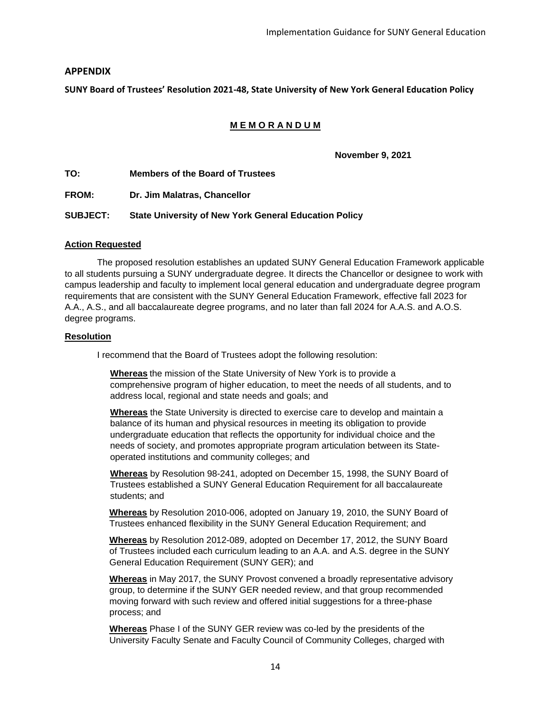# **APPENDIX**

**SUNY Board of Trustees' Resolution 2021-48, State University of New York General Education Policy**

# **M E M O R A N D U M**

**November 9, 2021**

**TO: Members of the Board of Trustees**

**FROM: Dr. Jim Malatras, Chancellor**

**SUBJECT: State University of New York General Education Policy**

#### **Action Requested**

The proposed resolution establishes an updated SUNY General Education Framework applicable to all students pursuing a SUNY undergraduate degree. It directs the Chancellor or designee to work with campus leadership and faculty to implement local general education and undergraduate degree program requirements that are consistent with the SUNY General Education Framework, effective fall 2023 for A.A., A.S., and all baccalaureate degree programs, and no later than fall 2024 for A.A.S. and A.O.S. degree programs.

#### **Resolution**

I recommend that the Board of Trustees adopt the following resolution:

**Whereas** the mission of the State University of New York is to provide a comprehensive program of higher education, to meet the needs of all students, and to address local, regional and state needs and goals; and

**Whereas** the State University is directed to exercise care to develop and maintain a balance of its human and physical resources in meeting its obligation to provide undergraduate education that reflects the opportunity for individual choice and the needs of society, and promotes appropriate program articulation between its Stateoperated institutions and community colleges; and

**Whereas** by Resolution 98-241, adopted on December 15, 1998, the SUNY Board of Trustees established a SUNY General Education Requirement for all baccalaureate students; and

**Whereas** by Resolution 2010-006, adopted on January 19, 2010, the SUNY Board of Trustees enhanced flexibility in the SUNY General Education Requirement; and

**Whereas** by Resolution 2012-089, adopted on December 17, 2012, the SUNY Board of Trustees included each curriculum leading to an A.A. and A.S. degree in the SUNY General Education Requirement (SUNY GER); and

**Whereas** in May 2017, the SUNY Provost convened a broadly representative advisory group, to determine if the SUNY GER needed review, and that group recommended moving forward with such review and offered initial suggestions for a three-phase process; and

**Whereas** Phase I of the SUNY GER review was co-led by the presidents of the University Faculty Senate and Faculty Council of Community Colleges, charged with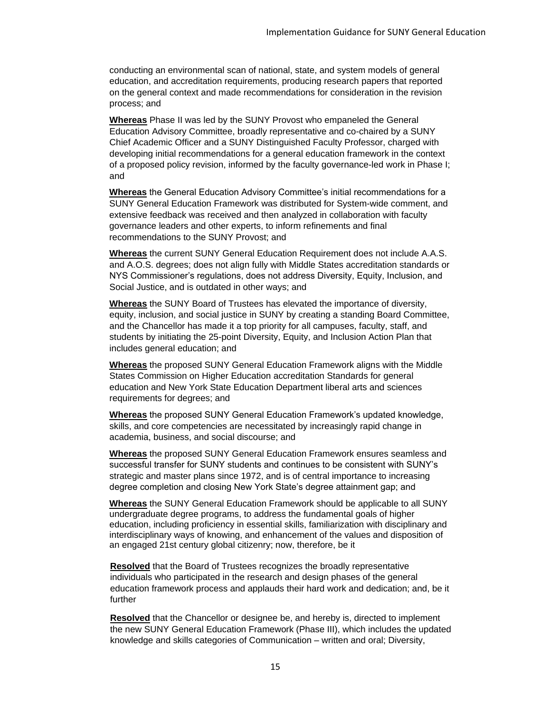conducting an environmental scan of national, state, and system models of general education, and accreditation requirements, producing research papers that reported on the general context and made recommendations for consideration in the revision process; and

**Whereas** Phase II was led by the SUNY Provost who empaneled the General Education Advisory Committee, broadly representative and co-chaired by a SUNY Chief Academic Officer and a SUNY Distinguished Faculty Professor, charged with developing initial recommendations for a general education framework in the context of a proposed policy revision, informed by the faculty governance-led work in Phase I; and

**Whereas** the General Education Advisory Committee's initial recommendations for a SUNY General Education Framework was distributed for System-wide comment, and extensive feedback was received and then analyzed in collaboration with faculty governance leaders and other experts, to inform refinements and final recommendations to the SUNY Provost; and

**Whereas** the current SUNY General Education Requirement does not include A.A.S. and A.O.S. degrees; does not align fully with Middle States accreditation standards or NYS Commissioner's regulations, does not address Diversity, Equity, Inclusion, and Social Justice, and is outdated in other ways; and

**Whereas** the SUNY Board of Trustees has elevated the importance of diversity, equity, inclusion, and social justice in SUNY by creating a standing Board Committee, and the Chancellor has made it a top priority for all campuses, faculty, staff, and students by initiating the 25-point Diversity, Equity, and Inclusion Action Plan that includes general education; and

**Whereas** the proposed SUNY General Education Framework aligns with the Middle States Commission on Higher Education accreditation Standards for general education and New York State Education Department liberal arts and sciences requirements for degrees; and

**Whereas** the proposed SUNY General Education Framework's updated knowledge, skills, and core competencies are necessitated by increasingly rapid change in academia, business, and social discourse; and

**Whereas** the proposed SUNY General Education Framework ensures seamless and successful transfer for SUNY students and continues to be consistent with SUNY's strategic and master plans since 1972, and is of central importance to increasing degree completion and closing New York State's degree attainment gap; and

**Whereas** the SUNY General Education Framework should be applicable to all SUNY undergraduate degree programs, to address the fundamental goals of higher education, including proficiency in essential skills, familiarization with disciplinary and interdisciplinary ways of knowing, and enhancement of the values and disposition of an engaged 21st century global citizenry; now, therefore, be it

**Resolved** that the Board of Trustees recognizes the broadly representative individuals who participated in the research and design phases of the general education framework process and applauds their hard work and dedication; and, be it further

**Resolved** that the Chancellor or designee be, and hereby is, directed to implement the new SUNY General Education Framework (Phase III), which includes the updated knowledge and skills categories of Communication – written and oral; Diversity,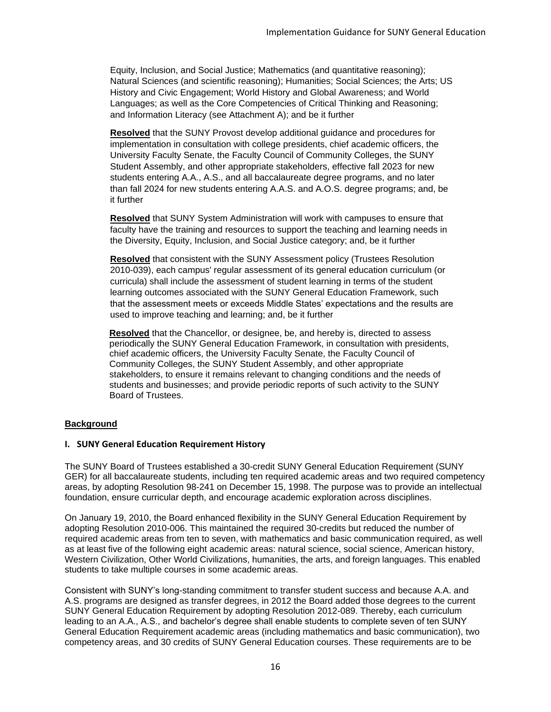Equity, Inclusion, and Social Justice; Mathematics (and quantitative reasoning); Natural Sciences (and scientific reasoning); Humanities; Social Sciences; the Arts; US History and Civic Engagement; World History and Global Awareness; and World Languages; as well as the Core Competencies of Critical Thinking and Reasoning; and Information Literacy (see Attachment A); and be it further

**Resolved** that the SUNY Provost develop additional guidance and procedures for implementation in consultation with college presidents, chief academic officers, the University Faculty Senate, the Faculty Council of Community Colleges, the SUNY Student Assembly, and other appropriate stakeholders, effective fall 2023 for new students entering A.A., A.S., and all baccalaureate degree programs, and no later than fall 2024 for new students entering A.A.S. and A.O.S. degree programs; and, be it further

**Resolved** that SUNY System Administration will work with campuses to ensure that faculty have the training and resources to support the teaching and learning needs in the Diversity, Equity, Inclusion, and Social Justice category; and, be it further

**Resolved** that consistent with the SUNY Assessment policy (Trustees Resolution 2010-039), each campus' regular assessment of its general education curriculum (or curricula) shall include the assessment of student learning in terms of the student learning outcomes associated with the SUNY General Education Framework, such that the assessment meets or exceeds Middle States' expectations and the results are used to improve teaching and learning; and, be it further

**Resolved** that the Chancellor, or designee, be, and hereby is, directed to assess periodically the SUNY General Education Framework, in consultation with presidents, chief academic officers, the University Faculty Senate, the Faculty Council of Community Colleges, the SUNY Student Assembly, and other appropriate stakeholders, to ensure it remains relevant to changing conditions and the needs of students and businesses; and provide periodic reports of such activity to the SUNY Board of Trustees.

## **Background**

## **I. SUNY General Education Requirement History**

The SUNY Board of Trustees established a 30-credit SUNY General Education Requirement (SUNY GER) for all baccalaureate students, including ten required academic areas and two required competency areas, by adopting Resolution 98-241 on December 15, 1998. The purpose was to provide an intellectual foundation, ensure curricular depth, and encourage academic exploration across disciplines.

On January 19, 2010, the Board enhanced flexibility in the SUNY General Education Requirement by adopting Resolution 2010-006. This maintained the required 30-credits but reduced the number of required academic areas from ten to seven, with mathematics and basic communication required, as well as at least five of the following eight academic areas: natural science, social science, American history, Western Civilization, Other World Civilizations, humanities, the arts, and foreign languages. This enabled students to take multiple courses in some academic areas.

Consistent with SUNY's long-standing commitment to transfer student success and because A.A. and A.S. programs are designed as transfer degrees, in 2012 the Board added those degrees to the current SUNY General Education Requirement by adopting Resolution 2012-089. Thereby, each curriculum leading to an A.A., A.S., and bachelor's degree shall enable students to complete seven of ten SUNY General Education Requirement academic areas (including mathematics and basic communication), two competency areas, and 30 credits of SUNY General Education courses. These requirements are to be